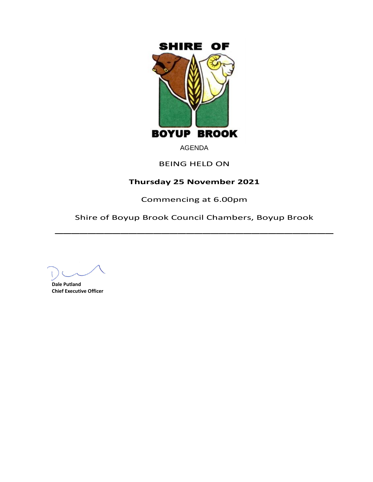

# AGENDA

## BEING HELD ON

# **Thursday 25 November 2021**

Commencing at 6.00pm

Shire of Boyup Brook Council Chambers, Boyup Brook  $\overline{\phantom{a}}$ 

**Dale Putland Chief Executive Officer**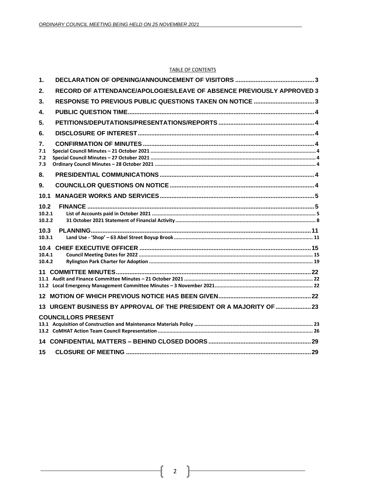#### **TABLE OF CONTENTS**

| 1.                                                                          |  |
|-----------------------------------------------------------------------------|--|
| RECORD OF ATTENDANCE/APOLOGIES/LEAVE OF ABSENCE PREVIOUSLY APPROVED 3<br>2. |  |
| RESPONSE TO PREVIOUS PUBLIC QUESTIONS TAKEN ON NOTICE 3<br>3.               |  |
| 4.                                                                          |  |
| 5.                                                                          |  |
| 6.                                                                          |  |
| 7.<br>7.1<br>7.2<br>7.3                                                     |  |
| 8.                                                                          |  |
| 9.                                                                          |  |
| 10.1                                                                        |  |
| 10.2<br>10.2.1<br>10.2.2                                                    |  |
| 10.3<br>10.3.1                                                              |  |
| 10.4<br>10.4.1<br>10.4.2                                                    |  |
|                                                                             |  |
|                                                                             |  |
| 13 URGENT BUSINESS BY APPROVAL OF THE PRESIDENT OR A MAJORITY OF  23        |  |
| <b>COUNCILLORS PRESENT</b>                                                  |  |
|                                                                             |  |
| 15                                                                          |  |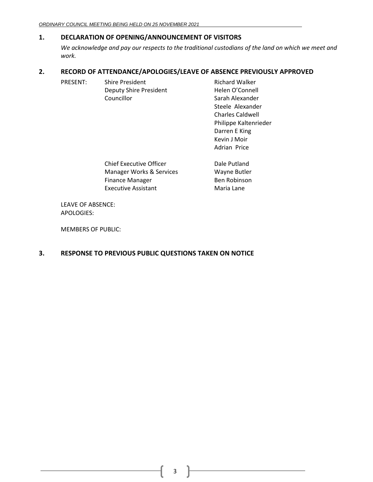## <span id="page-2-0"></span>**1. DECLARATION OF OPENING/ANNOUNCEMENT OF VISITORS**

*We acknowledge and pay our respects to the traditional custodians of the land on which we meet and work.*

> Kevin J Moir Adrian Price

## <span id="page-2-1"></span>**2. RECORD OF ATTENDANCE/APOLOGIES/LEAVE OF ABSENCE PREVIOUSLY APPROVED**

| PRESENT: | <b>Shire President</b>        | <b>Richard Walker</b>   |
|----------|-------------------------------|-------------------------|
|          | <b>Deputy Shire President</b> | Helen O'Connell         |
|          | Councillor                    | Sarah Alexander         |
|          |                               | Steele Alexander        |
|          |                               | <b>Charles Caldwell</b> |
|          |                               | Philippe Kaltenrieder   |
|          |                               | Darren E King           |

| <b>Chief Executive Officer</b> | Dale Putland |
|--------------------------------|--------------|
| Manager Works & Services       | Wayne Butler |
| <b>Finance Manager</b>         | Ben Robinson |
| Executive Assistant            | Maria Lane   |

LEAVE OF ABSENCE: APOLOGIES:

MEMBERS OF PUBLIC:

## <span id="page-2-2"></span>**3. RESPONSE TO PREVIOUS PUBLIC QUESTIONS TAKEN ON NOTICE**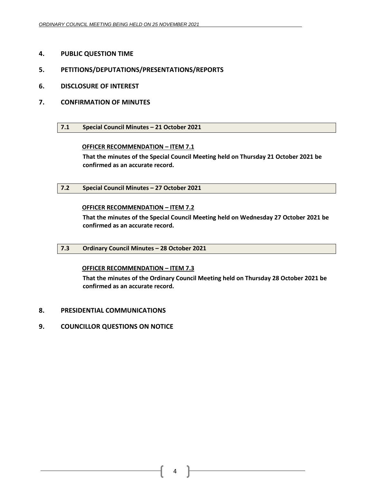- <span id="page-3-0"></span>**4. PUBLIC QUESTION TIME**
- <span id="page-3-1"></span>**5. PETITIONS/DEPUTATIONS/PRESENTATIONS/REPORTS**
- <span id="page-3-2"></span>**6. DISCLOSURE OF INTEREST**
- <span id="page-3-4"></span><span id="page-3-3"></span>**7. CONFIRMATION OF MINUTES**
	- **7.1 Special Council Minutes – 21 October 2021**

### **OFFICER RECOMMENDATION – ITEM 7.1**

**That the minutes of the Special Council Meeting held on Thursday 21 October 2021 be confirmed as an accurate record.**

<span id="page-3-5"></span>**7.2 Special Council Minutes – 27 October 2021**

### **OFFICER RECOMMENDATION – ITEM 7.2**

**That the minutes of the Special Council Meeting held on Wednesday 27 October 2021 be confirmed as an accurate record.**

<span id="page-3-6"></span>**7.3 Ordinary Council Minutes – 28 October 2021**

### **OFFICER RECOMMENDATION – ITEM 7.3**

**That the minutes of the Ordinary Council Meeting held on Thursday 28 October 2021 be confirmed as an accurate record.**

- <span id="page-3-7"></span>**8. PRESIDENTIAL COMMUNICATIONS**
- <span id="page-3-8"></span>**9. COUNCILLOR QUESTIONS ON NOTICE**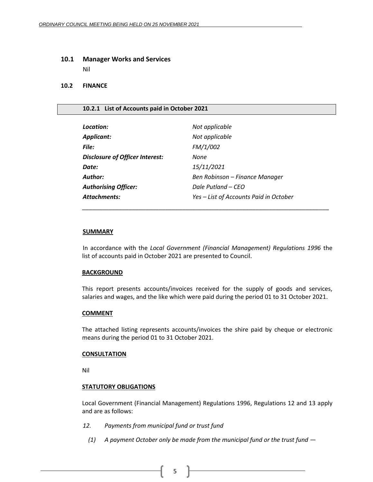#### <span id="page-4-0"></span>**10.1 Manager Works and Services**

Nil

#### <span id="page-4-1"></span>**10.2 FINANCE**

#### <span id="page-4-2"></span>**10.2.1 List of Accounts paid in October 2021**

| Not applicable                         |
|----------------------------------------|
| Not applicable                         |
| FM/1/002                               |
| None                                   |
| 15/11/2021                             |
| Ben Robinson – Finance Manager         |
| Dale Putland – CEO                     |
| Yes - List of Accounts Paid in October |
|                                        |

#### **SUMMARY**

In accordance with the *Local Government (Financial Management) Regulations 1996* the list of accounts paid in October 2021 are presented to Council.

\_\_\_\_\_\_\_\_\_\_\_\_\_\_\_\_\_\_\_\_\_\_\_\_\_\_\_\_\_\_\_\_\_\_\_\_\_\_\_\_\_\_\_\_\_\_\_\_\_\_\_\_\_\_\_\_\_\_\_\_\_\_\_\_\_\_\_\_\_\_\_\_\_\_

#### **BACKGROUND**

This report presents accounts/invoices received for the supply of goods and services, salaries and wages, and the like which were paid during the period 01 to 31 October 2021.

#### **COMMENT**

The attached listing represents accounts/invoices the shire paid by cheque or electronic means during the period 01 to 31 October 2021.

#### **CONSULTATION**

Nil

#### **STATUTORY OBLIGATIONS**

Local Government (Financial Management) Regulations 1996, Regulations 12 and 13 apply and are as follows:

- *12. Payments from municipal fund or trust fund*
	- *(1) A payment October only be made from the municipal fund or the trust fund —*

5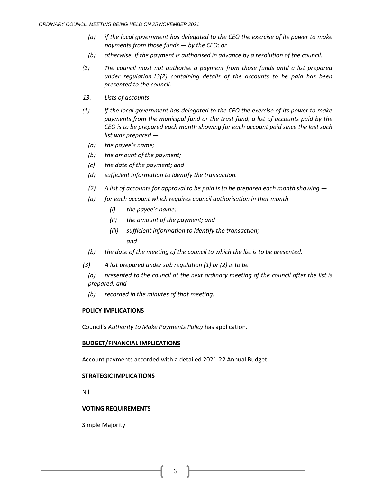- *(a) if the local government has delegated to the CEO the exercise of its power to make payments from those funds — by the CEO; or*
- *(b) otherwise, if the payment is authorised in advance by a resolution of the council.*
- *(2) The council must not authorise a payment from those funds until a list prepared under regulation 13(2) containing details of the accounts to be paid has been presented to the council.*
- *13. Lists of accounts*
- *(1) If the local government has delegated to the CEO the exercise of its power to make payments from the municipal fund or the trust fund, a list of accounts paid by the CEO is to be prepared each month showing for each account paid since the last such list was prepared —*
	- *(a) the payee's name;*
	- *(b) the amount of the payment;*
	- *(c) the date of the payment; and*
	- *(d) sufficient information to identify the transaction.*
	- *(2) A list of accounts for approval to be paid is to be prepared each month showing —*
	- *(a) for each account which requires council authorisation in that month —*
		- *(i) the payee's name;*
		- *(ii) the amount of the payment; and*
		- *(iii) sufficient information to identify the transaction; and*
	- *(b) the date of the meeting of the council to which the list is to be presented.*
- *(3) A list prepared under sub regulation (1) or (2) is to be —*
	- *(a) presented to the council at the next ordinary meeting of the council after the list is prepared; and*
	- *(b) recorded in the minutes of that meeting.*

#### **POLICY IMPLICATIONS**

Council's *Authority to Make Payments Policy* has application.

#### **BUDGET/FINANCIAL IMPLICATIONS**

Account payments accorded with a detailed 2021-22 Annual Budget

#### **STRATEGIC IMPLICATIONS**

Nil

### **VOTING REQUIREMENTS**

Simple Majority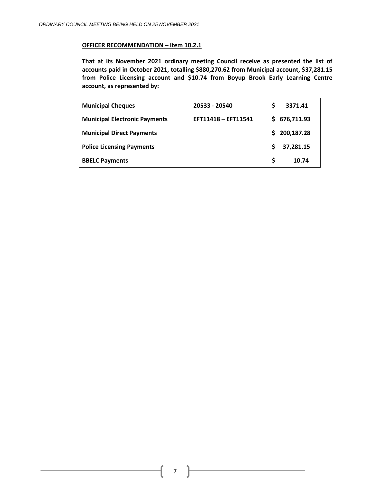#### **OFFICER RECOMMENDATION – Item 10.2.1**

**That at its November 2021 ordinary meeting Council receive as presented the list of accounts paid in October 2021, totalling \$880,270.62 from Municipal account, \$37,281.15 from Police Licensing account and \$10.74 from Boyup Brook Early Learning Centre account, as represented by:**

| <b>Municipal Cheques</b>             | 20533 - 20540       | S  | 3371.41    |
|--------------------------------------|---------------------|----|------------|
| <b>Municipal Electronic Payments</b> | EFT11418 - EFT11541 | S. | 676,711.93 |
| <b>Municipal Direct Payments</b>     |                     | S. | 200,187.28 |
| <b>Police Licensing Payments</b>     |                     | Ŝ. | 37,281.15  |
| <b>BBELC Payments</b>                |                     | S  | 10.74      |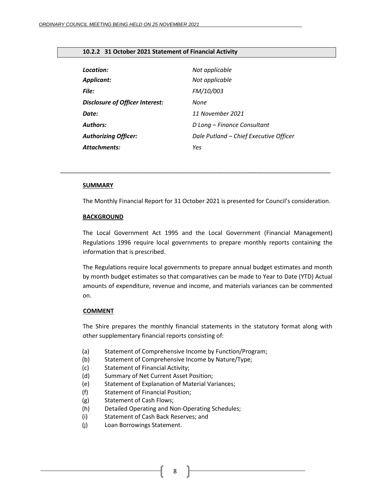### <span id="page-7-0"></span>**10.2.2 31 October 2021 Statement of Financial Activity**

| Location:                              | Not applicable                         |
|----------------------------------------|----------------------------------------|
| <b>Applicant:</b>                      | Not applicable                         |
| File:                                  | <b>FM/10/003</b>                       |
| <b>Disclosure of Officer Interest:</b> | None                                   |
| Date:                                  | 11 November 2021                       |
| <b>Authors:</b>                        | D Long – Finance Consultant            |
| <b>Authorizing Officer:</b>            | Dale Putland - Chief Executive Officer |
| Attachments:                           | Yes                                    |

#### **SUMMARY**

The Monthly Financial Report for 31 October 2021 is presented for Council's consideration.

*\_\_\_\_\_\_\_\_\_\_\_\_\_\_\_\_\_\_\_\_\_\_\_\_\_\_\_\_\_\_\_\_\_\_\_\_\_\_\_\_\_\_\_\_\_\_\_\_\_\_\_\_\_\_\_\_\_\_\_\_\_\_\_\_\_\_\_\_\_\_\_\_\_\_\_\_\_\_\_\_\_*

#### **BACKGROUND**

The Local Government Act 1995 and the Local Government (Financial Management) Regulations 1996 require local governments to prepare monthly reports containing the information that is prescribed.

The Regulations require local governments to prepare annual budget estimates and month by month budget estimates so that comparatives can be made to Year to Date (YTD) Actual amounts of expenditure, revenue and income, and materials variances can be commented on.

#### **COMMENT**

The Shire prepares the monthly financial statements in the statutory format along with other supplementary financial reports consisting of:

- (a) Statement of Comprehensive Income by Function/Program;
- (b) Statement of Comprehensive Income by Nature/Type;
- (c) Statement of Financial Activity;
- (d) Summary of Net Current Asset Position;
- (e) Statement of Explanation of Material Variances;
- (f) Statement of Financial Position;
- (g) Statement of Cash Flows;
- (h) Detailed Operating and Non-Operating Schedules;
- (i) Statement of Cash Back Reserves; and
- (j) Loan Borrowings Statement.

8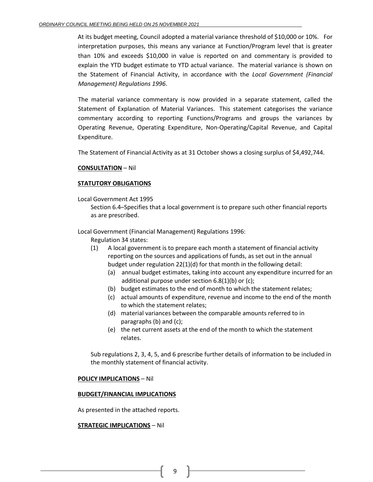At its budget meeting, Council adopted a material variance threshold of \$10,000 or 10%. For interpretation purposes, this means any variance at Function/Program level that is greater than 10% and exceeds \$10,000 in value is reported on and commentary is provided to explain the YTD budget estimate to YTD actual variance. The material variance is shown on the Statement of Financial Activity, in accordance with the *Local Government (Financial Management) Regulations 1996*.

The material variance commentary is now provided in a separate statement, called the Statement of Explanation of Material Variances. This statement categorises the variance commentary according to reporting Functions/Programs and groups the variances by Operating Revenue, Operating Expenditure, Non-Operating/Capital Revenue, and Capital Expenditure.

The Statement of Financial Activity as at 31 October shows a closing surplus of \$4,492,744.

### **CONSULTATION** – Nil

### **STATUTORY OBLIGATIONS**

Local Government Act 1995

Section 6.4–Specifies that a local government is to prepare such other financial reports as are prescribed.

Local Government (Financial Management) Regulations 1996:

- Regulation 34 states:
- (1) A local government is to prepare each month a statement of financial activity reporting on the sources and applications of funds, as set out in the annual budget under regulation 22(1)(d) for that month in the following detail:
	- (a) annual budget estimates, taking into account any expenditure incurred for an additional purpose under section 6.8(1)(b) or (c);
	- (b) budget estimates to the end of month to which the statement relates;
	- (c) actual amounts of expenditure, revenue and income to the end of the month to which the statement relates;
	- (d) material variances between the comparable amounts referred to in paragraphs (b) and (c);
	- (e) the net current assets at the end of the month to which the statement relates.

Sub regulations 2, 3, 4, 5, and 6 prescribe further details of information to be included in the monthly statement of financial activity.

#### **POLICY IMPLICATIONS** – Nil

#### **BUDGET/FINANCIAL IMPLICATIONS**

As presented in the attached reports.

#### **STRATEGIC IMPLICATIONS** – Nil

9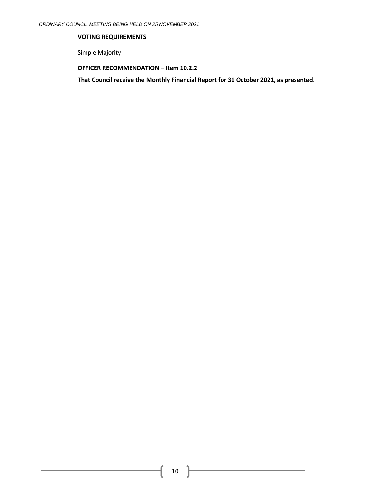## **VOTING REQUIREMENTS**

Simple Majority

### **OFFICER RECOMMENDATION – Item 10.2.2**

**That Council receive the Monthly Financial Report for 31 October 2021, as presented.**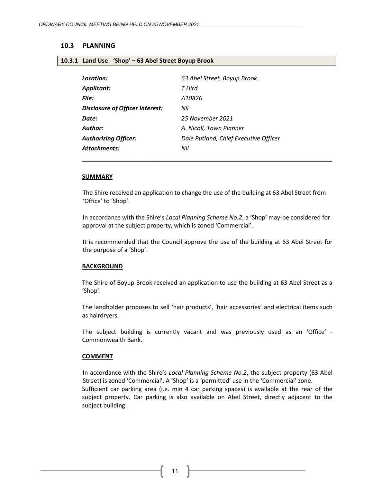#### <span id="page-10-1"></span><span id="page-10-0"></span>**10.3 PLANNING**

#### **10.3.1 Land Use - 'Shop' – 63 Abel Street Boyup Brook**

| Location:                       | 63 Abel Street, Boyup Brook.          |
|---------------------------------|---------------------------------------|
| Applicant:                      | T Hird                                |
| File:                           | A10826                                |
| Disclosure of Officer Interest: | Nil                                   |
| Date:                           | 25 November 2021                      |
| Author:                         | A. Nicoll, Town Planner               |
| <b>Authorizing Officer:</b>     | Dale Putland, Chief Executive Officer |
| <b>Attachments:</b>             | Nil                                   |

#### **SUMMARY**

The Shire received an application to change the use of the building at 63 Abel Street from 'Office' to 'Shop'.

\_\_\_\_\_\_\_\_\_\_\_\_\_\_\_\_\_\_\_\_\_\_\_\_\_\_\_\_\_\_\_\_\_\_\_\_\_\_\_\_\_\_\_\_\_\_\_\_\_\_\_\_\_\_\_\_\_\_\_\_\_\_\_\_\_\_\_\_\_\_\_\_\_\_\_

In accordance with the Shire's *Local Planning Scheme No.2*, a 'Shop' may-be considered for approval at the subject property, which is zoned 'Commercial'.

It is recommended that the Council approve the use of the building at 63 Abel Street for the purpose of a 'Shop'.

#### **BACKGROUND**

The Shire of Boyup Brook received an application to use the building at 63 Abel Street as a 'Shop'.

The landholder proposes to sell 'hair products', 'hair accessories' and electrical items such as hairdryers.

The subject building is currently vacant and was previously used as an 'Office' - Commonwealth Bank.

#### **COMMENT**

In accordance with the Shire's *Local Planning Scheme No.2*, the subject property (63 Abel Street) is zoned 'Commercial'. A 'Shop' is a 'permitted' use in the 'Commercial' zone. Sufficient car parking area (i.e. min 4 car parking spaces) is available at the rear of the subject property. Car parking is also available on Abel Street, directly adjacent to the subject building.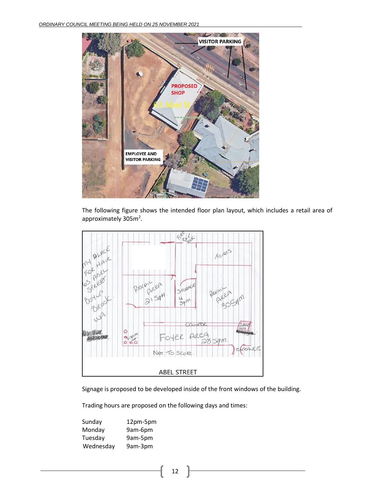

The following figure shows the intended floor plan layout, which includes a retail area of approximately 305m<sup>2</sup>.



Signage is proposed to be developed inside of the front windows of the building.

Trading hours are proposed on the following days and times:

| Sunday    | 12pm-5pm |
|-----------|----------|
| Monday    | 9am-6pm  |
| Tuesday   | 9am-5pm  |
| Wednesday | 9am-3pm  |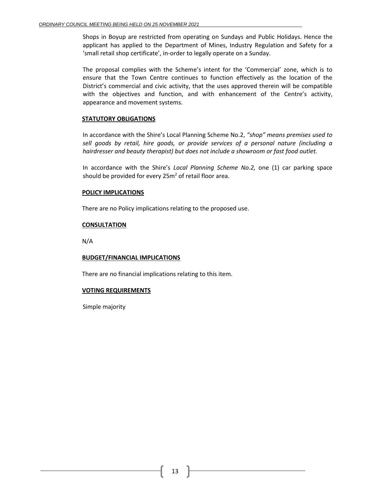Shops in Boyup are restricted from operating on Sundays and Public Holidays. Hence the applicant has applied to the Department of Mines, Industry Regulation and Safety for a 'small retail shop certificate', in-order to legally operate on a Sunday.

The proposal complies with the Scheme's intent for the 'Commercial' zone, which is to ensure that the Town Centre continues to function effectively as the location of the District's commercial and civic activity, that the uses approved therein will be compatible with the objectives and function, and with enhancement of the Centre's activity, appearance and movement systems.

### **STATUTORY OBLIGATIONS**

In accordance with the Shire's Local Planning Scheme No.2, *"shop" means premises used to sell goods by retail, hire goods, or provide services of a personal nature (including a hairdresser and beauty therapist) but does not include a showroom or fast food outlet.*

In accordance with the Shire's *Local Planning Scheme No.2,* one (1) car parking space should be provided for every  $25m^2$  of retail floor area.

### **POLICY IMPLICATIONS**

There are no Policy implications relating to the proposed use.

### **CONSULTATION**

N/A

#### **BUDGET/FINANCIAL IMPLICATIONS**

There are no financial implications relating to this item.

### **VOTING REQUIREMENTS**

Simple majority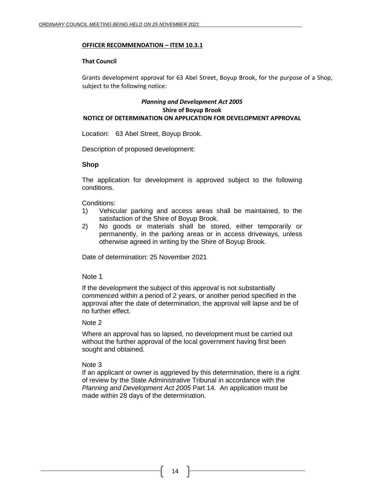#### **OFFICER RECOMMENDATION – ITEM 10.3.1**

### **That Council**

Grants development approval for 63 Abel Street, Boyup Brook, for the purpose of a Shop, subject to the following notice:

### *Planning and Development Act 2005* **Shire of Boyup Brook NOTICE OF DETERMINATION ON APPLICATION FOR DEVELOPMENT APPROVAL**

Location: 63 Abel Street, Boyup Brook.

Description of proposed development:

### **Shop**

The application for development is approved subject to the following conditions.

Conditions:

- 1) Vehicular parking and access areas shall be maintained, to the satisfaction of the Shire of Boyup Brook.
- 2) No goods or materials shall be stored, either temporarily or permanently, in the parking areas or in access driveways, unless otherwise agreed in writing by the Shire of Boyup Brook.

Date of determination: 25 November 2021

### Note 1

If the development the subject of this approval is not substantially commenced within a period of 2 years, or another period specified in the approval after the date of determination, the approval will lapse and be of no further effect.

### Note 2

Where an approval has so lapsed, no development must be carried out without the further approval of the local government having first been sought and obtained.

## Note 3

If an applicant or owner is aggrieved by this determination, there is a right of review by the State Administrative Tribunal in accordance with the *Planning and Development Act 2005* Part 14. An application must be made within 28 days of the determination.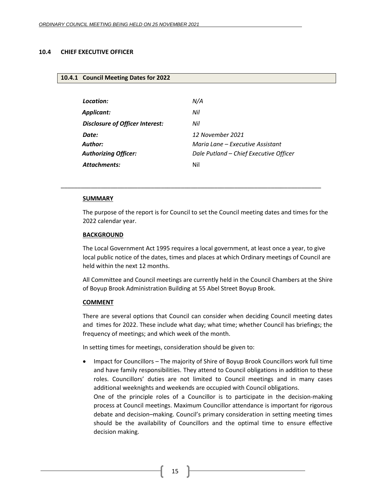#### <span id="page-14-1"></span><span id="page-14-0"></span>**10.4 CHIEF EXECUTIVE OFFICER**

#### **10.4.1 Council Meeting Dates for 2022**

| Location:                       | N/A                                    |
|---------------------------------|----------------------------------------|
| Applicant:                      | Nil                                    |
| Disclosure of Officer Interest: | Nil                                    |
| Date:                           | 12 November 2021                       |
| Author:                         | Maria Lane – Executive Assistant       |
| <b>Authorizing Officer:</b>     | Dale Putland - Chief Executive Officer |
| Attachments:                    | Nil                                    |
|                                 |                                        |

\_\_\_\_\_\_\_\_\_\_\_\_\_\_\_\_\_\_\_\_\_\_\_\_\_\_\_\_\_\_\_\_\_\_\_\_\_\_\_\_\_\_\_\_\_\_\_\_\_\_\_\_\_\_\_\_\_\_\_\_\_\_\_\_\_\_\_\_\_\_\_\_\_\_\_\_\_\_

#### **SUMMARY**

The purpose of the report is for Council to set the Council meeting dates and times for the 2022 calendar year.

#### **BACKGROUND**

The Local Government Act 1995 requires a local government, at least once a year, to give local public notice of the dates, times and places at which Ordinary meetings of Council are held within the next 12 months.

All Committee and Council meetings are currently held in the Council Chambers at the Shire of Boyup Brook Administration Building at 55 Abel Street Boyup Brook.

#### **COMMENT**

There are several options that Council can consider when deciding Council meeting dates and times for 2022. These include what day; what time; whether Council has briefings; the frequency of meetings; and which week of the month.

In setting times for meetings, consideration should be given to:

• Impact for Councillors – The majority of Shire of Boyup Brook Councillors work full time and have family responsibilities. They attend to Council obligations in addition to these roles. Councillors' duties are not limited to Council meetings and in many cases additional weeknights and weekends are occupied with Council obligations. One of the principle roles of a Councillor is to participate in the decision-making process at Council meetings. Maximum Councillor attendance is important for rigorous debate and decision–making. Council's primary consideration in setting meeting times should be the availability of Councillors and the optimal time to ensure effective decision making.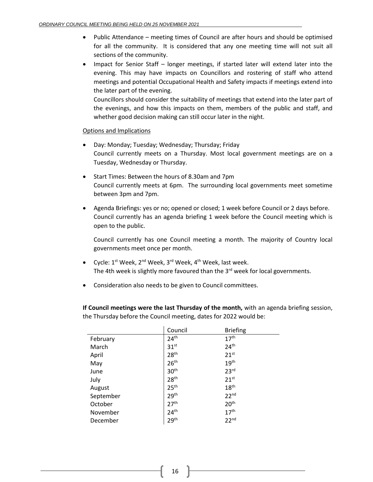- Public Attendance meeting times of Council are after hours and should be optimised for all the community. It is considered that any one meeting time will not suit all sections of the community.
- Impact for Senior Staff longer meetings, if started later will extend later into the evening. This may have impacts on Councillors and rostering of staff who attend meetings and potential Occupational Health and Safety impacts if meetings extend into the later part of the evening.

Councillors should consider the suitability of meetings that extend into the later part of the evenings, and how this impacts on them, members of the public and staff, and whether good decision making can still occur later in the night.

### Options and Implications

- Day: Monday; Tuesday; Wednesday; Thursday; Friday Council currently meets on a Thursday. Most local government meetings are on a Tuesday, Wednesday or Thursday.
- Start Times: Between the hours of 8.30am and 7pm Council currently meets at 6pm. The surrounding local governments meet sometime between 3pm and 7pm.
- Agenda Briefings: yes or no; opened or closed; 1 week before Council or 2 days before. Council currently has an agenda briefing 1 week before the Council meeting which is open to the public.

Council currently has one Council meeting a month. The majority of Country local governments meet once per month.

- Cycle: 1<sup>st</sup> Week, 2<sup>nd</sup> Week, 3<sup>rd</sup> Week, 4<sup>th</sup> Week, last week. The 4th week is slightly more favoured than the 3<sup>rd</sup> week for local governments.
- Consideration also needs to be given to Council committees.

**If Council meetings were the last Thursday of the month,** with an agenda briefing session, the Thursday before the Council meeting, dates for 2022 would be:

|           | Council          | <b>Briefing</b>  |
|-----------|------------------|------------------|
| February  | 24 <sup>th</sup> | 17 <sup>th</sup> |
| March     | 31 <sup>st</sup> | 24 <sup>th</sup> |
| April     | 28 <sup>th</sup> | 21 <sup>st</sup> |
| May       | 26 <sup>th</sup> | 19 <sup>th</sup> |
| June      | 30 <sup>th</sup> | 23 <sup>rd</sup> |
| July      | 28 <sup>th</sup> | 21 <sup>st</sup> |
| August    | 25 <sup>th</sup> | 18 <sup>th</sup> |
| September | 29 <sup>th</sup> | 22 <sup>nd</sup> |
| October   | 27 <sup>th</sup> | 20 <sup>th</sup> |
| November  | 24 <sup>th</sup> | 17 <sup>th</sup> |
| December  | 29 <sup>th</sup> | 22 <sup>nd</sup> |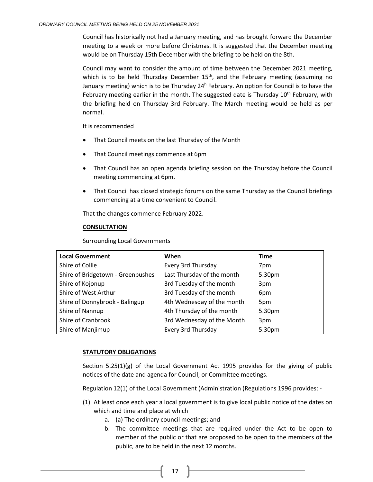Council has historically not had a January meeting, and has brought forward the December meeting to a week or more before Christmas. It is suggested that the December meeting would be on Thursday 15th December with the briefing to be held on the 8th.

Council may want to consider the amount of time between the December 2021 meeting, which is to be held Thursday December 15<sup>th</sup>, and the February meeting (assuming no January meeting) which is to be Thursday 24<sup>h</sup> February. An option for Council is to have the February meeting earlier in the month. The suggested date is Thursday 10<sup>th</sup> February, with the briefing held on Thursday 3rd February. The March meeting would be held as per normal.

It is recommended

- That Council meets on the last Thursday of the Month
- That Council meetings commence at 6pm
- That Council has an open agenda briefing session on the Thursday before the Council meeting commencing at 6pm.
- That Council has closed strategic forums on the same Thursday as the Council briefings commencing at a time convenient to Council.

That the changes commence February 2022.

## **CONSULTATION**

Surrounding Local Governments

| <b>Local Government</b>           | When                       | <b>Time</b> |
|-----------------------------------|----------------------------|-------------|
| Shire of Collie                   | Every 3rd Thursday         | 7pm         |
| Shire of Bridgetown - Greenbushes | Last Thursday of the month | 5.30pm      |
| Shire of Kojonup                  | 3rd Tuesday of the month   | 3pm         |
| Shire of West Arthur              | 3rd Tuesday of the month   | 6pm         |
| Shire of Donnybrook - Balingup    | 4th Wednesday of the month | 5pm         |
| Shire of Nannup                   | 4th Thursday of the month  | 5.30pm      |
| Shire of Cranbrook                | 3rd Wednesday of the Month | 3pm         |
| Shire of Manjimup                 | Every 3rd Thursday         | 5.30pm      |

### **STATUTORY OBLIGATIONS**

Section  $5.25(1)(g)$  of the Local Government Act 1995 provides for the giving of public notices of the date and agenda for Council; or Committee meetings.

Regulation 12(1) of the Local Government (Administration (Regulations 1996 provides: -

- (1) At least once each year a local government is to give local public notice of the dates on which and time and place at which –
	- a. (a) The ordinary council meetings; and
	- b. The committee meetings that are required under the Act to be open to member of the public or that are proposed to be open to the members of the public, are to be held in the next 12 months.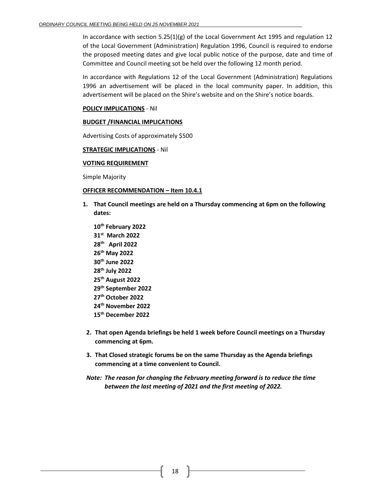In accordance with section  $5.25(1)(g)$  of the Local Government Act 1995 and regulation 12 of the Local Government (Administration) Regulation 1996, Council is required to endorse the proposed meeting dates and give local public notice of the purpose, date and time of Committee and Council meeting sot be held over the following 12 month period.

In accordance with Regulations 12 of the Local Government (Administration) Regulations 1996 an advertisement will be placed in the local community paper. In addition, this advertisement will be placed on the Shire's website and on the Shire's notice boards.

### **POLICY IMPLICATIONS** - Nil

#### **BUDGET /FINANCIAL IMPLICATIONS**

Advertising Costs of approximately \$500

### **STRATEGIC IMPLICATIONS** - Nil

#### **VOTING REQUIREMENT**

Simple Majority

### **OFFICER RECOMMENDATION – Item 10.4.1**

- **1. That Council meetings are held on a Thursday commencing at 6pm on the following dates:**
	- **10 th February 2022 31st March 2022 28th April 2022 26 th May 2022 30th June 2022 28 th July 2022 25 th August 2022 29th September 2022 27 th October 2022 24 th November 2022 15 th December 2022**
- **2. That open Agenda briefings be held 1 week before Council meetings on a Thursday commencing at 6pm.**
- **3. That Closed strategic forums be on the same Thursday as the Agenda briefings commencing at a time convenient to Council.**
- *Note: The reason for changing the February meeting forward is to reduce the time between the last meeting of 2021 and the first meeting of 2022.*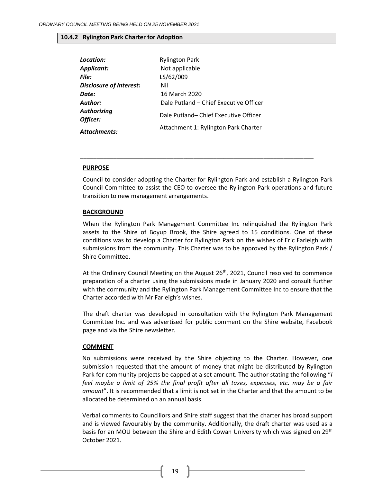#### <span id="page-18-0"></span>**10.4.2 Rylington Park Charter for Adoption**

| Location:                      | <b>Rylington Park</b>                  |
|--------------------------------|----------------------------------------|
| <b>Applicant:</b>              | Not applicable                         |
| File:                          | LS/62/009                              |
| <b>Disclosure of Interest:</b> | Nil                                    |
| Date:                          | 16 March 2020                          |
| Author:                        | Dale Putland - Chief Executive Officer |
| <b>Authorizing</b><br>Officer: | Dale Putland-Chief Executive Officer   |
| <b>Attachments:</b>            | Attachment 1: Rylington Park Charter   |

#### **PURPOSE**

Council to consider adopting the Charter for Rylington Park and establish a Rylington Park Council Committee to assist the CEO to oversee the Rylington Park operations and future transition to new management arrangements.

\_\_\_\_\_\_\_\_\_\_\_\_\_\_\_\_\_\_\_\_\_\_\_\_\_\_\_\_\_\_\_\_\_\_\_\_\_\_\_\_\_\_\_\_\_\_\_\_\_\_\_\_\_\_\_\_\_\_\_\_\_\_\_\_\_\_\_\_\_\_

#### **BACKGROUND**

When the Rylington Park Management Committee Inc relinquished the Rylington Park assets to the Shire of Boyup Brook, the Shire agreed to 15 conditions. One of these conditions was to develop a Charter for Rylington Park on the wishes of Eric Farleigh with submissions from the community. This Charter was to be approved by the Rylington Park / Shire Committee.

At the Ordinary Council Meeting on the August  $26<sup>th</sup>$ , 2021, Council resolved to commence preparation of a charter using the submissions made in January 2020 and consult further with the community and the Rylington Park Management Committee Inc to ensure that the Charter accorded with Mr Farleigh's wishes.

The draft charter was developed in consultation with the Rylington Park Management Committee Inc. and was advertised for public comment on the Shire website, Facebook page and via the Shire newsletter.

#### **COMMENT**

No submissions were received by the Shire objecting to the Charter. However, one submission requested that the amount of money that might be distributed by Rylington Park for community projects be capped at a set amount. The author stating the following "*I feel maybe a limit of 25% the final profit after all taxes, expenses, etc. may be a fair amount*". It is recommended that a limit is not set in the Charter and that the amount to be allocated be determined on an annual basis.

Verbal comments to Councillors and Shire staff suggest that the charter has broad support and is viewed favourably by the community. Additionally, the draft charter was used as a basis for an MOU between the Shire and Edith Cowan University which was signed on 29<sup>th</sup> October 2021.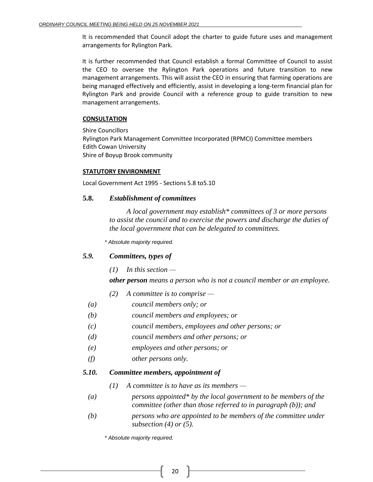It is recommended that Council adopt the charter to guide future uses and management arrangements for Rylington Park.

It is further recommended that Council establish a formal Committee of Council to assist the CEO to oversee the Rylington Park operations and future transition to new management arrangements. This will assist the CEO in ensuring that farming operations are being managed effectively and efficiently, assist in developing a long-term financial plan for Rylington Park and provide Council with a reference group to guide transition to new management arrangements.

### **CONSULTATION**

Shire Councillors Rylington Park Management Committee Incorporated (RPMCI) Committee members Edith Cowan University Shire of Boyup Brook community

### **STATUTORY ENVIRONMENT**

Local Government Act 1995 - Sections 5.8 to5.10

## **5.8.** *Establishment of committees*

*A local government may establish\* committees of 3 or more persons to assist the council and to exercise the powers and discharge the duties of the local government that can be delegated to committees.*

*\* Absolute majority required.*

## *5.9. Committees, types of*

*(1) In this section —*

*other person means a person who is not a council member or an employee.*

- *(2) A committee is to comprise —*
- *(a) council members only; or*
- *(b) council members and employees; or*
- *(c) council members, employees and other persons; or*
- *(d) council members and other persons; or*
- *(e) employees and other persons; or*
- *(f) other persons only.*

## *5.10. Committee members, appointment of*

- *(1) A committee is to have as its members —*
- *(a) persons appointed\* by the local government to be members of the committee (other than those referred to in paragraph (b)); and*
- *(b) persons who are appointed to be members of the committee under subsection (4) or (5).*

*\* Absolute majority required.*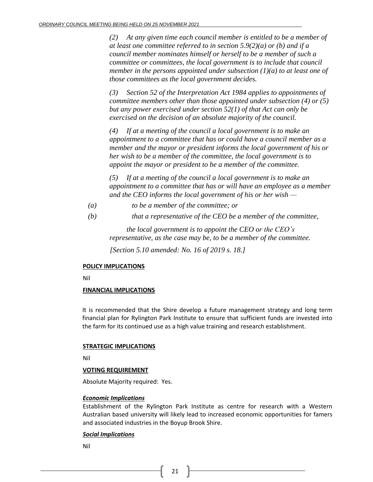*(2) At any given time each council member is entitled to be a member of at least one committee referred to in section 5.9(2)(a) or (b) and if a council member nominates himself or herself to be a member of such a committee or committees, the local government is to include that council member in the persons appointed under subsection (1)(a) to at least one of those committees as the local government decides.*

*(3) Section 52 of the Interpretation Act 1984 applies to appointments of committee members other than those appointed under subsection (4) or (5) but any power exercised under section 52(1) of that Act can only be exercised on the decision of an absolute majority of the council.*

*(4) If at a meeting of the council a local government is to make an appointment to a committee that has or could have a council member as a member and the mayor or president informs the local government of his or her wish to be a member of the committee, the local government is to appoint the mayor or president to be a member of the committee.* 

*(5) If at a meeting of the council a local government is to make an appointment to a committee that has or will have an employee as a member and the CEO informs the local government of his or her wish —*

- *(a) to be a member of the committee; or*
- *(b) that a representative of the CEO be a member of the committee,*

*the local government is to appoint the CEO or the CEO's representative, as the case may be, to be a member of the committee.*

*[Section 5.10 amended: No. 16 of 2019 s. 18.]*

#### **POLICY IMPLICATIONS**

Nil

### **FINANCIAL IMPLICATIONS**

It is recommended that the Shire develop a future management strategy and long term financial plan for Rylington Park Institute to ensure that sufficient funds are invested into the farm for its continued use as a high value training and research establishment.

#### **STRATEGIC IMPLICATIONS**

Nil

### **VOTING REQUIREMENT**

Absolute Majority required: Yes.

#### *Economic Implications*

Establishment of the Rylington Park Institute as centre for research with a Western Australian based university will likely lead to increased economic opportunities for famers and associated industries in the Boyup Brook Shire.

#### *Social Implications*

Nil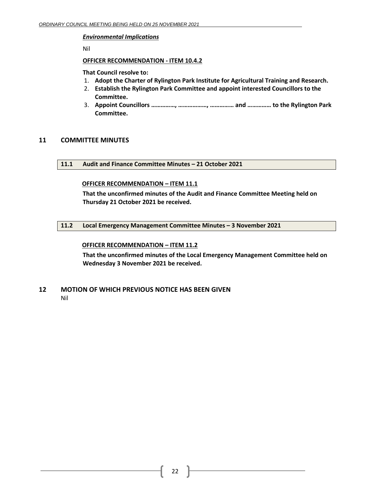#### *Environmental Implications*

Nil

#### **OFFICER RECOMMENDATION - ITEM 10.4.2**

#### **That Council resolve to:**

- 1. **Adopt the Charter of Rylington Park Institute for Agricultural Training and Research.**
- 2. **Establish the Rylington Park Committee and appoint interested Councillors to the Committee.**
- 3. **Appoint Councillors ……………, ………………, …………… and …………… to the Rylington Park Committee.**

## <span id="page-21-1"></span><span id="page-21-0"></span>**11 COMMITTEE MINUTES**

**11.1 Audit and Finance Committee Minutes – 21 October 2021**

### **OFFICER RECOMMENDATION – ITEM 11.1**

**That the unconfirmed minutes of the Audit and Finance Committee Meeting held on Thursday 21 October 2021 be received.**

### <span id="page-21-2"></span>**11.2 Local Emergency Management Committee Minutes – 3 November 2021**

### **OFFICER RECOMMENDATION – ITEM 11.2**

**That the unconfirmed minutes of the Local Emergency Management Committee held on Wednesday 3 November 2021 be received.**

## <span id="page-21-3"></span>**12 MOTION OF WHICH PREVIOUS NOTICE HAS BEEN GIVEN** Nil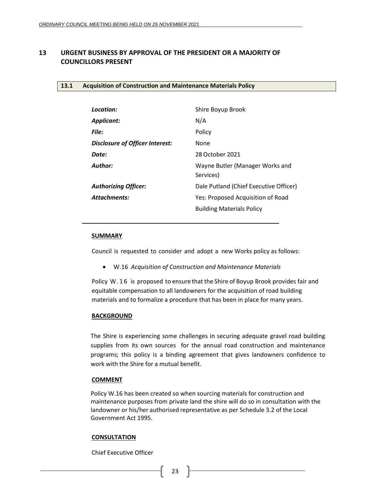## <span id="page-22-1"></span><span id="page-22-0"></span>**13 URGENT BUSINESS BY APPROVAL OF THE PRESIDENT OR A MAJORITY OF COUNCILLORS PRESENT**

#### <span id="page-22-2"></span>**13.1 Acquisition of Construction and Maintenance Materials Policy**

| Location:                              | Shire Boyup Brook                            |
|----------------------------------------|----------------------------------------------|
| Applicant:                             | N/A                                          |
| File:                                  | Policy                                       |
| <b>Disclosure of Officer Interest:</b> | None                                         |
| Date:                                  | 28 October 2021                              |
| Author:                                | Wayne Butler (Manager Works and<br>Services) |
| <b>Authorizing Officer:</b>            | Dale Putland (Chief Executive Officer)       |
| <b>Attachments:</b>                    | Yes: Proposed Acquisition of Road            |
|                                        | <b>Building Materials Policy</b>             |

#### **SUMMARY**

Council is requested to consider and adopt a new Works policy as follows:

• W.16 *Acquisition of Construction and Maintenance Materials*

Policy W . 1 6 is proposed to ensure that the Shire of Boyup Brook provides fair and equitable compensation to all landowners for the acquisition of road building materials and to formalize a procedure that has been in place for many years.

#### **BACKGROUND**

The Shire is experiencing some challenges in securing adequate gravel road building supplies from its own sources for the annual road construction and maintenance programs; this policy is a binding agreement that gives landowners confidence to work with the Shire for a mutual benefit.

### **COMMENT**

Policy W.16 has been created so when sourcing materials for construction and maintenance purposes from private land the shire will do so in consultation with the landowner or his/her authorised representative as per Schedule 3.2 of the Local Government Act 1995.

#### **CONSULTATION**

Chief Executive Officer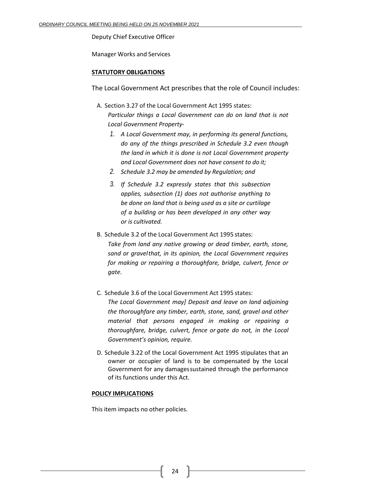Deputy Chief Executive Officer

Manager Works and Services

#### **STATUTORY OBLIGATIONS**

The Local Government Act prescribes that the role of Council includes:

A. Section 3.27 of the Local Government Act 1995 states:

*Particular things a Local Government can do on land that is not Local Government Property-*

- *1. A Local Government may, in performing its general functions, do any of the things prescribed in Schedule 3.2 even though the land in which it is done is not Local Government property and Local Government does not have consent to do it;*
- *2. Schedule 3.2 may be amended by Regulation; and*
- *3. If Schedule 3.2 expressly states that this subsection applies, subsection (1) does not authorise anything to be done on land that is being used as a site or curtilage of a building or has been developed in any other way or is cultivated.*
- B. Schedule 3.2 of the Local Government Act 1995 states: *Take from land any native growing or dead timber, earth, stone, sand or gravelthat, in its opinion, the Local Government requires for making or repairing a thoroughfare, bridge, culvert, fence or gate.*
- C. Schedule 3.6 of the Local Government Act 1995 states:

*The Local Government may] Deposit and leave on land adjoining the thoroughfare any timber, earth, stone, sand, gravel and other material that persons engaged in making or repairing a thoroughfare, bridge, culvert, fence or gate do not, in the Local Government's opinion, require.*

D. Schedule 3.22 of the Local Government Act 1995 stipulates that an owner or occupier of land is to be compensated by the Local Government for any damagessustained through the performance of its functions under this Act.

#### **POLICY IMPLICATIONS**

This item impacts no other policies.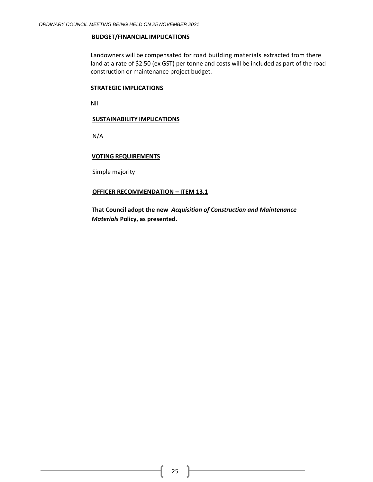#### **BUDGET/FINANCIAL IMPLICATIONS**

Landowners will be compensated for road building materials extracted from there land at a rate of \$2.50 (ex GST) per tonne and costs will be included as part of the road construction or maintenance project budget.

#### **STRATEGIC IMPLICATIONS**

Nil

#### **SUSTAINABILITY IMPLICATIONS**

N/A

#### **VOTING REQUIREMENTS**

Simple majority

### **OFFICER RECOMMENDATION – ITEM 13.1**

**That Council adopt the new** *Acquisition of Construction and Maintenance Materials* **Policy, as presented.**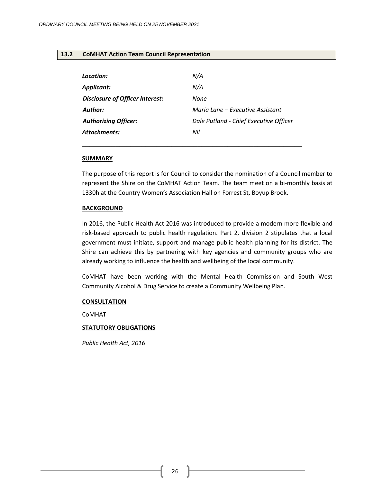#### <span id="page-25-0"></span>**13.2 CoMHAT Action Team Council Representation**

| Location:                       | N/A                                    |
|---------------------------------|----------------------------------------|
| Applicant:                      | N/A                                    |
| Disclosure of Officer Interest: | None                                   |
| Author:                         | Maria Lane – Executive Assistant       |
| <b>Authorizing Officer:</b>     | Dale Putland - Chief Executive Officer |
| <b>Attachments:</b>             | Nil                                    |
|                                 |                                        |

#### **SUMMARY**

The purpose of this report is for Council to consider the nomination of a Council member to represent the Shire on the CoMHAT Action Team. The team meet on a bi-monthly basis at 1330h at the Country Women's Association Hall on Forrest St, Boyup Brook.

#### **BACKGROUND**

In 2016, the Public Health Act 2016 was introduced to provide a modern more flexible and risk-based approach to public health regulation. Part 2, division 2 stipulates that a local government must initiate, support and manage public health planning for its district. The Shire can achieve this by partnering with key agencies and community groups who are already working to influence the health and wellbeing of the local community.

CoMHAT have been working with the Mental Health Commission and South West Community Alcohol & Drug Service to create a Community Wellbeing Plan.

#### **CONSULTATION**

CoMHAT

#### **STATUTORY OBLIGATIONS**

*Public Health Act, 2016*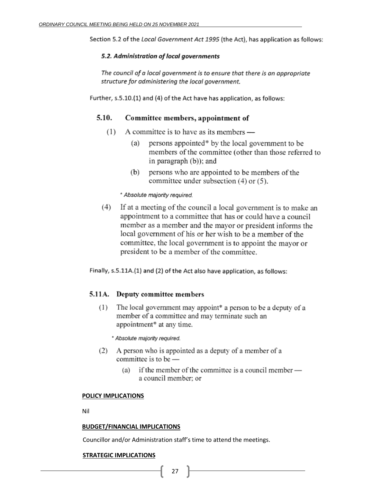Section 5.2 of the Local Government Act 1995 (the Act), has application as follows:

### 5.2. Administration of local governments

The council of a local government is to ensure that there is an appropriate structure for administering the local government.

Further, s.5.10.(1) and (4) of the Act have has application, as follows:

#### $5.10.$ Committee members, appointment of

- $(1)$ A committee is to have as its members
	- persons appointed\* by the local government to be  $(a)$ members of the committee (other than those referred to in paragraph (b)); and
	- persons who are appointed to be members of the (b) committee under subsection (4) or (5).

\* Absolute majority required.

 $(4)$ If at a meeting of the council a local government is to make an appointment to a committee that has or could have a council member as a member and the mayor or president informs the local government of his or her wish to be a member of the committee, the local government is to appoint the mayor or president to be a member of the committee.

Finally, s.5.11A.(1) and (2) of the Act also have application, as follows:

### 5.11A. Deputy committee members

 $(1)$ The local government may appoint\* a person to be a deputy of a member of a committee and may terminate such an appointment\* at any time.

\* Absolute majority required.

- (2) A person who is appointed as a deputy of a member of a committee is to be
	- if the member of the committee is a council member  $(a)$ a council member: or

#### **POLICY IMPLICATIONS**

Nil

#### **BUDGET/FINANCIAL IMPLICATIONS**

Councillor and/or Administration staff's time to attend the meetings.

### **STRATEGIC IMPLICATIONS**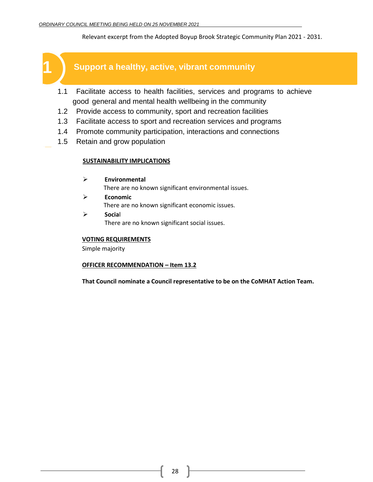Relevant excerpt from the Adopted Boyup Brook Strategic Community Plan 2021 - 2031.



- 1.1 Facilitate access to health facilities, services and programs to achieve good general and mental health wellbeing in the community
- 1.2 Provide access to community, sport and recreation facilities
- 1.3 Facilitate access to sport and recreation services and programs
- 1.4 Promote community participation, interactions and connections
- 1.5 Retain and grow population

## **SUSTAINABILITY IMPLICATIONS**

- ➢ **Environmental** There are no known significant environmental issues.
- ➢ **Economic** There are no known significant economic issues.
- ➢ **Socia**l There are no known significant social issues.

### **VOTING REQUIREMENTS**

Simple majority

### **OFFICER RECOMMENDATION – Item 13.2**

**That Council nominate a Council representative to be on the CoMHAT Action Team.**